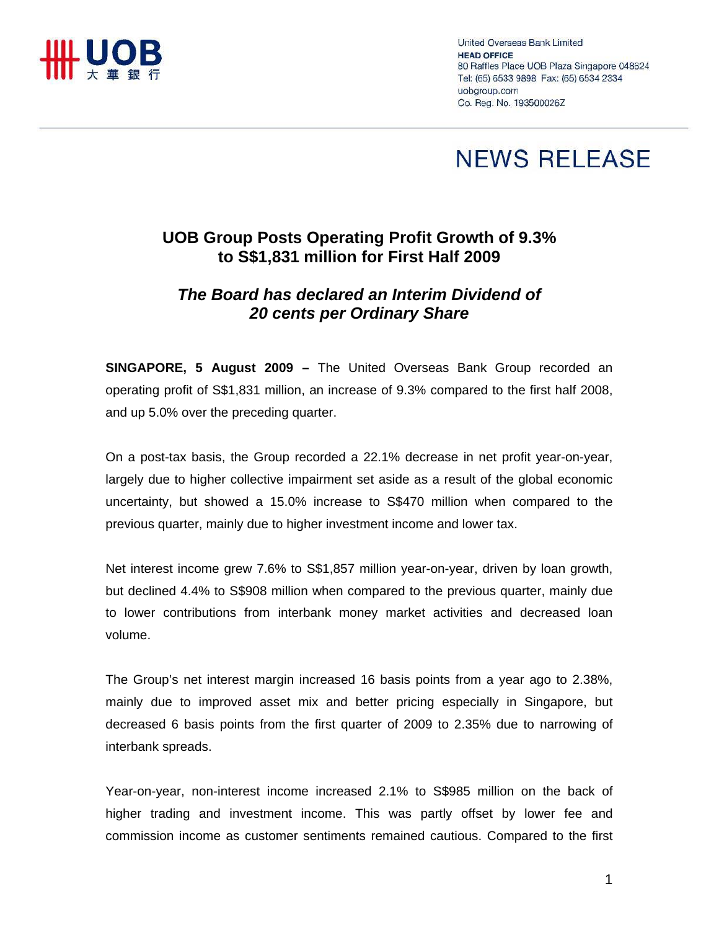

United Overseas Bank Limited **HEAD OFFICE** 80 Raffles Place UOB Plaza Singapore 048624 Tel: (65) 6533 9898 Fax: (65) 6534 2334 uobgroup.com Co. Reg. No. 193500026Z

## **NEWS RELEASE**

## **UOB Group Posts Operating Profit Growth of 9.3% to S\$1,831 million for First Half 2009**

## *The Board has declared an Interim Dividend of 20 cents per Ordinary Share*

**SINGAPORE, 5 August 2009 –** The United Overseas Bank Group recorded an operating profit of S\$1,831 million, an increase of 9.3% compared to the first half 2008, and up 5.0% over the preceding quarter.

On a post-tax basis, the Group recorded a 22.1% decrease in net profit year-on-year, largely due to higher collective impairment set aside as a result of the global economic uncertainty, but showed a 15.0% increase to S\$470 million when compared to the previous quarter, mainly due to higher investment income and lower tax.

Net interest income grew 7.6% to S\$1,857 million year-on-year, driven by loan growth, but declined 4.4% to S\$908 million when compared to the previous quarter, mainly due to lower contributions from interbank money market activities and decreased loan volume.

The Group's net interest margin increased 16 basis points from a year ago to 2.38%, mainly due to improved asset mix and better pricing especially in Singapore, but decreased 6 basis points from the first quarter of 2009 to 2.35% due to narrowing of interbank spreads.

Year-on-year, non-interest income increased 2.1% to S\$985 million on the back of higher trading and investment income. This was partly offset by lower fee and commission income as customer sentiments remained cautious. Compared to the first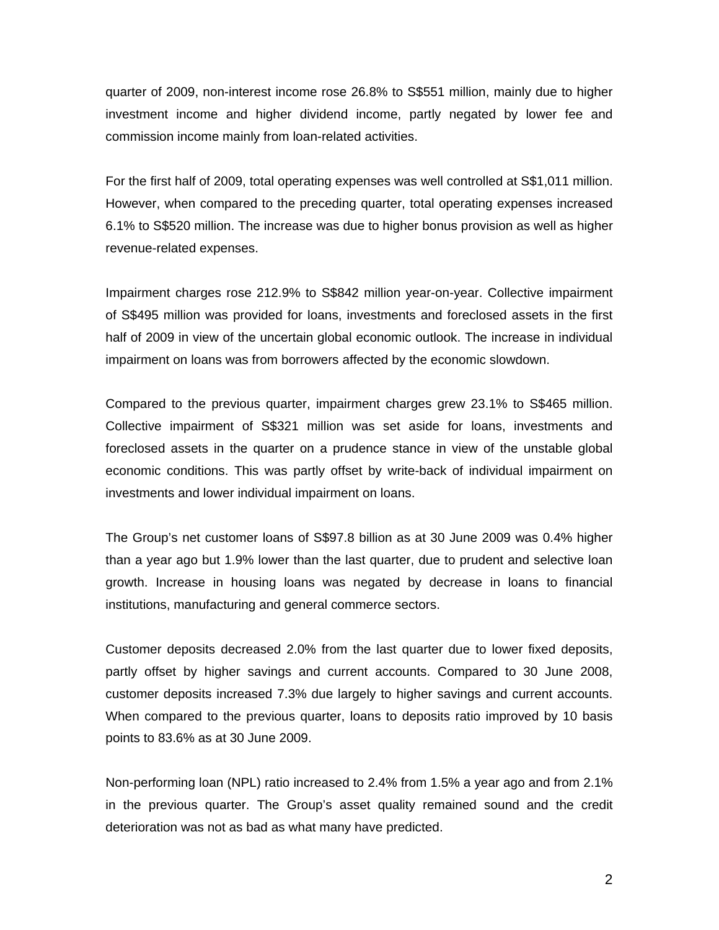quarter of 2009, non-interest income rose 26.8% to S\$551 million, mainly due to higher investment income and higher dividend income, partly negated by lower fee and commission income mainly from loan-related activities.

For the first half of 2009, total operating expenses was well controlled at S\$1,011 million. However, when compared to the preceding quarter, total operating expenses increased 6.1% to S\$520 million. The increase was due to higher bonus provision as well as higher revenue-related expenses.

Impairment charges rose 212.9% to S\$842 million year-on-year. Collective impairment of S\$495 million was provided for loans, investments and foreclosed assets in the first half of 2009 in view of the uncertain global economic outlook. The increase in individual impairment on loans was from borrowers affected by the economic slowdown.

Compared to the previous quarter, impairment charges grew 23.1% to S\$465 million. Collective impairment of S\$321 million was set aside for loans, investments and foreclosed assets in the quarter on a prudence stance in view of the unstable global economic conditions. This was partly offset by write-back of individual impairment on investments and lower individual impairment on loans.

The Group's net customer loans of S\$97.8 billion as at 30 June 2009 was 0.4% higher than a year ago but 1.9% lower than the last quarter, due to prudent and selective loan growth. Increase in housing loans was negated by decrease in loans to financial institutions, manufacturing and general commerce sectors.

Customer deposits decreased 2.0% from the last quarter due to lower fixed deposits, partly offset by higher savings and current accounts. Compared to 30 June 2008, customer deposits increased 7.3% due largely to higher savings and current accounts. When compared to the previous quarter, loans to deposits ratio improved by 10 basis points to 83.6% as at 30 June 2009.

Non-performing loan (NPL) ratio increased to 2.4% from 1.5% a year ago and from 2.1% in the previous quarter. The Group's asset quality remained sound and the credit deterioration was not as bad as what many have predicted.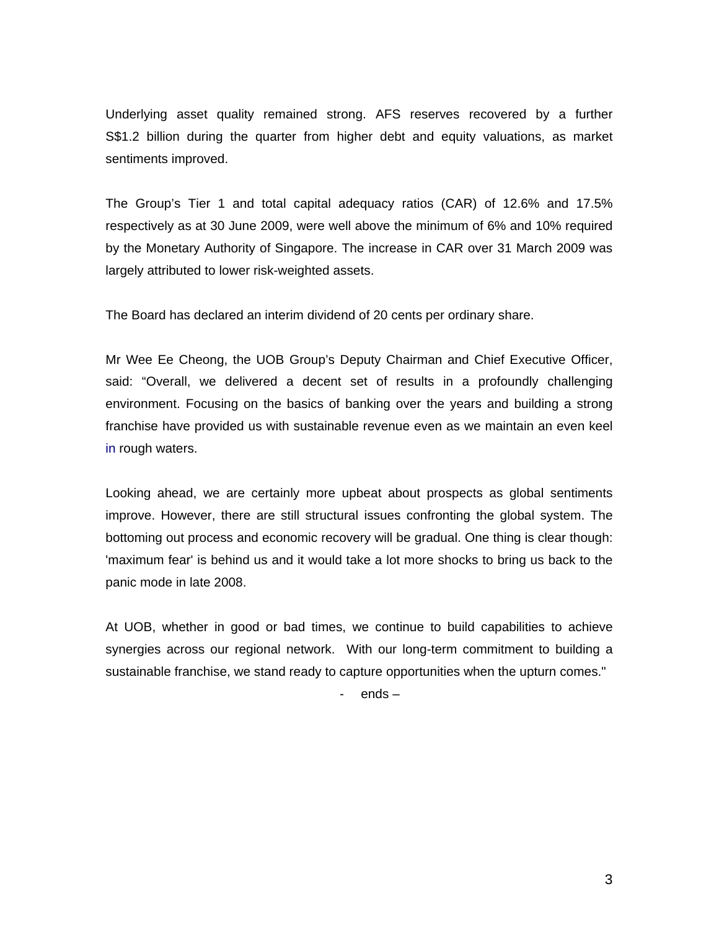Underlying asset quality remained strong. AFS reserves recovered by a further S\$1.2 billion during the quarter from higher debt and equity valuations, as market sentiments improved.

The Group's Tier 1 and total capital adequacy ratios (CAR) of 12.6% and 17.5% respectively as at 30 June 2009, were well above the minimum of 6% and 10% required by the Monetary Authority of Singapore. The increase in CAR over 31 March 2009 was largely attributed to lower risk-weighted assets.

The Board has declared an interim dividend of 20 cents per ordinary share.

Mr Wee Ee Cheong, the UOB Group's Deputy Chairman and Chief Executive Officer, said: "Overall, we delivered a decent set of results in a profoundly challenging environment. Focusing on the basics of banking over the years and building a strong franchise have provided us with sustainable revenue even as we maintain an even keel in rough waters.

Looking ahead, we are certainly more upbeat about prospects as global sentiments improve. However, there are still structural issues confronting the global system. The bottoming out process and economic recovery will be gradual. One thing is clear though: 'maximum fear' is behind us and it would take a lot more shocks to bring us back to the panic mode in late 2008.

At UOB, whether in good or bad times, we continue to build capabilities to achieve synergies across our regional network. With our long-term commitment to building a sustainable franchise, we stand ready to capture opportunities when the upturn comes."

- ends –